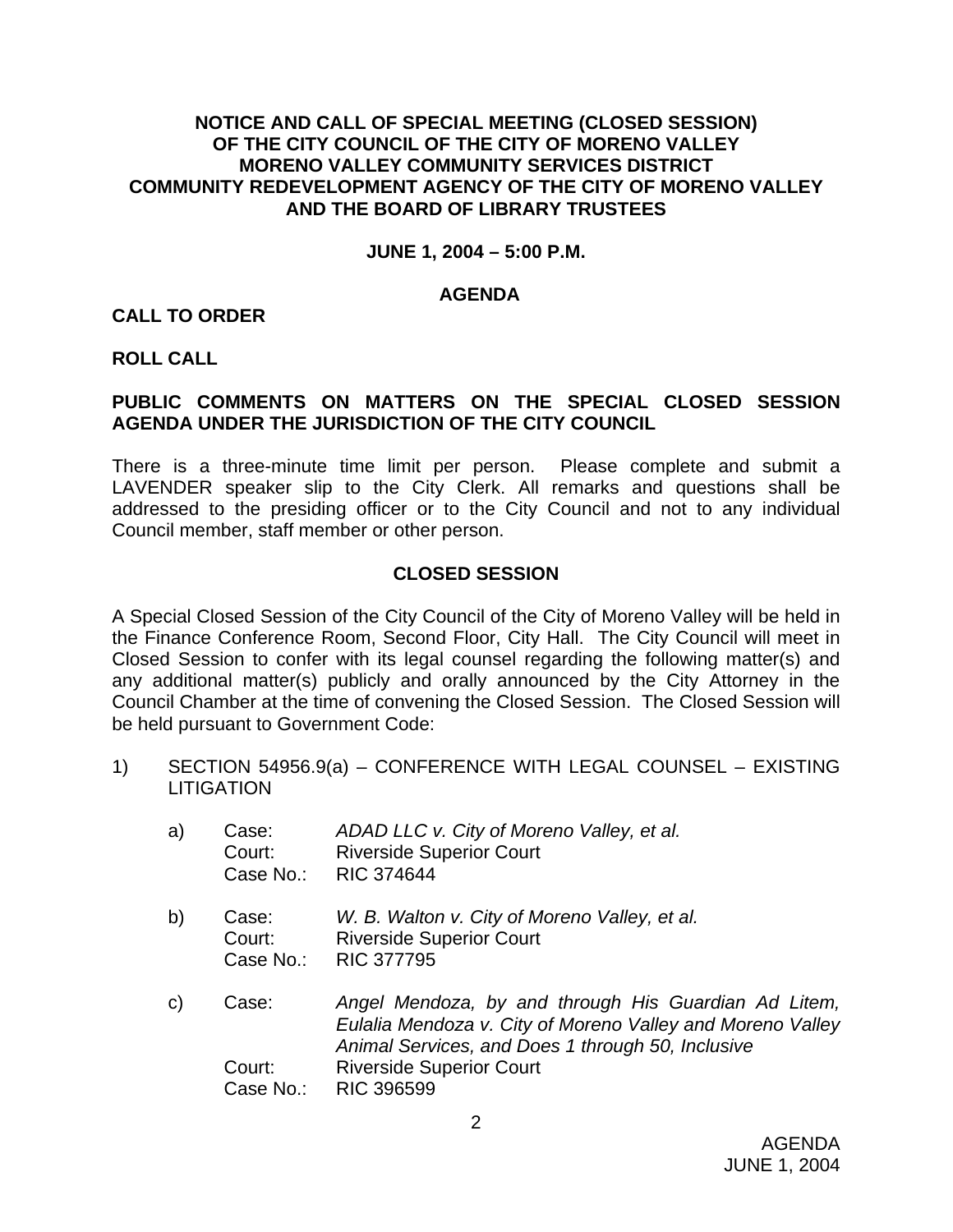# **NOTICE AND CALL OF SPECIAL MEETING (CLOSED SESSION) OF THE CITY COUNCIL OF THE CITY OF MORENO VALLEY MORENO VALLEY COMMUNITY SERVICES DISTRICT COMMUNITY REDEVELOPMENT AGENCY OF THE CITY OF MORENO VALLEY AND THE BOARD OF LIBRARY TRUSTEES**

#### **JUNE 1, 2004 – 5:00 P.M.**

#### **AGENDA**

#### **CALL TO ORDER**

#### **ROLL CALL**

# **PUBLIC COMMENTS ON MATTERS ON THE SPECIAL CLOSED SESSION AGENDA UNDER THE JURISDICTION OF THE CITY COUNCIL**

There is a three-minute time limit per person. Please complete and submit a LAVENDER speaker slip to the City Clerk. All remarks and questions shall be addressed to the presiding officer or to the City Council and not to any individual Council member, staff member or other person.

# **CLOSED SESSION**

A Special Closed Session of the City Council of the City of Moreno Valley will be held in the Finance Conference Room, Second Floor, City Hall. The City Council will meet in Closed Session to confer with its legal counsel regarding the following matter(s) and any additional matter(s) publicly and orally announced by the City Attorney in the Council Chamber at the time of convening the Closed Session. The Closed Session will be held pursuant to Government Code:

1) SECTION 54956.9(a) – CONFERENCE WITH LEGAL COUNSEL – EXISTING **LITIGATION** 

| a) | Case:<br>Court:<br>Case No.: | ADAD LLC v. City of Moreno Valley, et al.<br><b>Riverside Superior Court</b><br><b>RIC 374644</b>                                                                       |
|----|------------------------------|-------------------------------------------------------------------------------------------------------------------------------------------------------------------------|
| b) | Case:<br>Court:<br>Case No.: | W. B. Walton v. City of Moreno Valley, et al.<br><b>Riverside Superior Court</b><br><b>RIC 377795</b>                                                                   |
| C) | Case:                        | Angel Mendoza, by and through His Guardian Ad Litem,<br>Eulalia Mendoza v. City of Moreno Valley and Moreno Valley<br>Animal Services, and Does 1 through 50, Inclusive |
|    | Court:                       | <b>Riverside Superior Court</b>                                                                                                                                         |
|    | Case No.:                    | <b>RIC 396599</b>                                                                                                                                                       |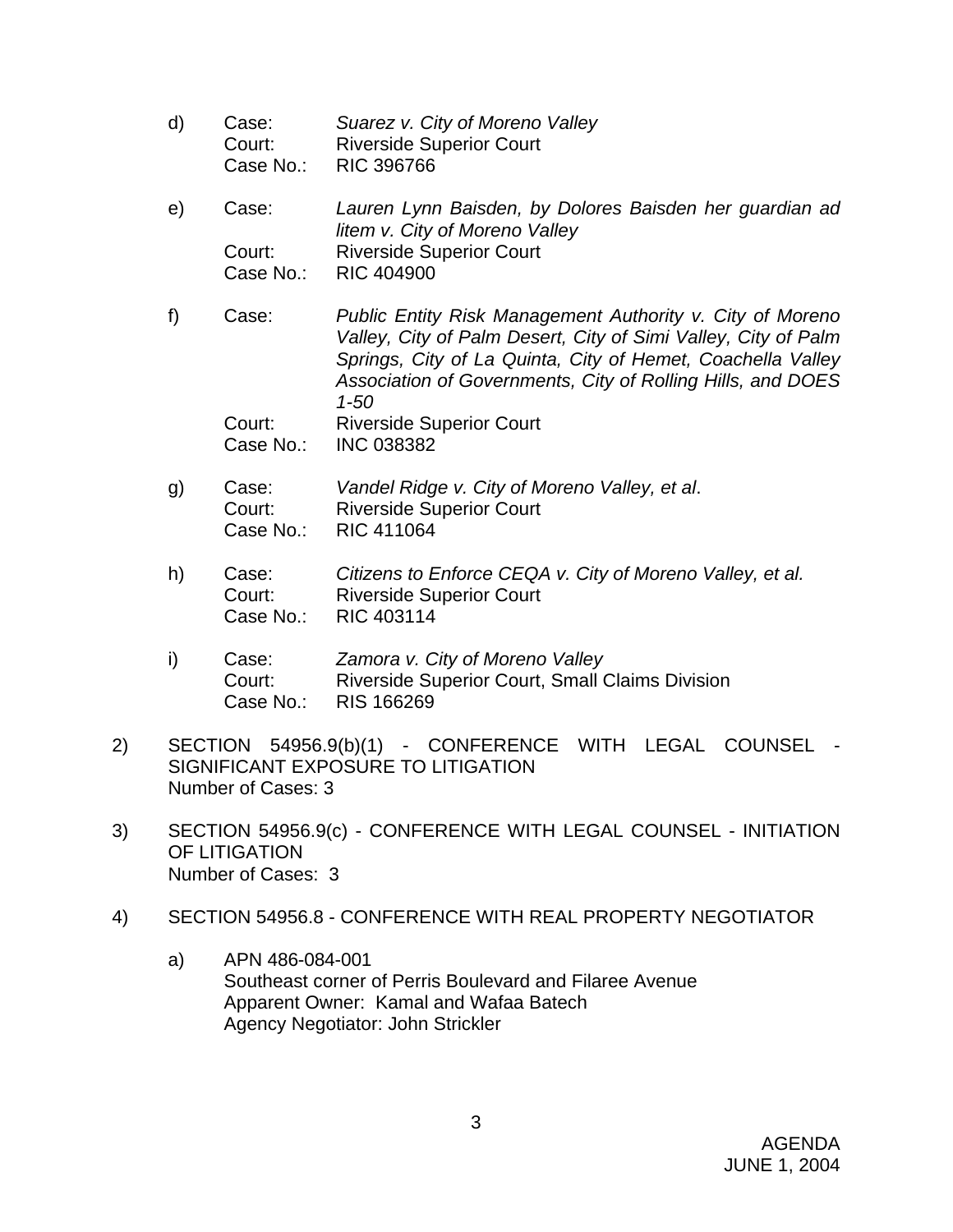- d) Case: *Suarez v. City of Moreno Valley*  Court: Riverside Superior Court Case No.: RIC 396766
- e) Case: *Lauren Lynn Baisden, by Dolores Baisden her guardian ad litem v. City of Moreno Valley*  Court: Riverside Superior Court Case No.: RIC 404900
- f) Case: *Public Entity Risk Management Authority v. City of Moreno Valley, City of Palm Desert, City of Simi Valley, City of Palm Springs, City of La Quinta, City of Hemet, Coachella Valley Association of Governments, City of Rolling Hills, and DOES 1-50*  Court: Riverside Superior Court
	- Case No.: INC 038382
- g) Case: *Vandel Ridge v. City of Moreno Valley, et al*. Court: Riverside Superior Court Case No.: RIC 411064
- h) Case: *Citizens to Enforce CEQA v. City of Moreno Valley, et al.* Court: Riverside Superior Court Case No.: RIC 403114
- i) Case: *Zamora v. City of Moreno Valley*  Court: Riverside Superior Court, Small Claims Division Case No.: RIS 166269
- 2) SECTION 54956.9(b)(1) CONFERENCE WITH LEGAL COUNSEL SIGNIFICANT EXPOSURE TO LITIGATION Number of Cases: 3
- 3) SECTION 54956.9(c) CONFERENCE WITH LEGAL COUNSEL INITIATION OF LITIGATION Number of Cases: 3
- 4) SECTION 54956.8 CONFERENCE WITH REAL PROPERTY NEGOTIATOR
	- a) APN 486-084-001 Southeast corner of Perris Boulevard and Filaree Avenue Apparent Owner: Kamal and Wafaa Batech Agency Negotiator: John Strickler